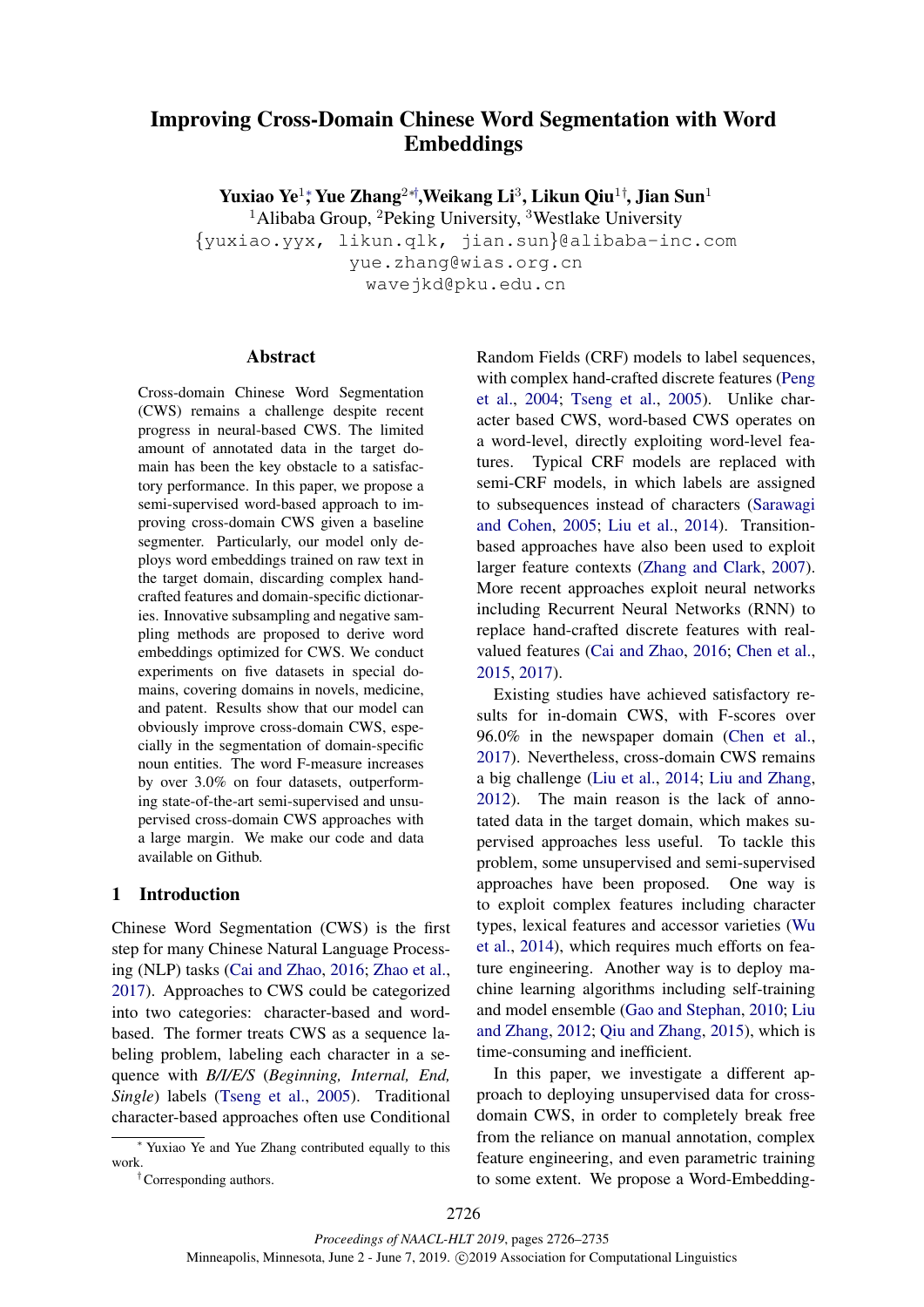# Improving Cross-Domain Chinese Word Segmentation with Word Embeddings

Yuxiao Ye $^{1\ast}$  Yue Zhang $^{2\ast\dag},$ Weikang Li $^{3},$  Likun Qiu $^{1\dag},$  Jian Sun $^{1}$ <sup>1</sup>Alibaba Group, <sup>2</sup>Peking University, <sup>3</sup>Westlake University

{yuxiao.yyx, likun.qlk, jian.sun}@alibaba-inc.com yue.zhang@wias.org.cn wavejkd@pku.edu.cn

### Abstract

Cross-domain Chinese Word Segmentation (CWS) remains a challenge despite recent progress in neural-based CWS. The limited amount of annotated data in the target domain has been the key obstacle to a satisfactory performance. In this paper, we propose a semi-supervised word-based approach to improving cross-domain CWS given a baseline segmenter. Particularly, our model only deploys word embeddings trained on raw text in the target domain, discarding complex handcrafted features and domain-specific dictionaries. Innovative subsampling and negative sampling methods are proposed to derive word embeddings optimized for CWS. We conduct experiments on five datasets in special domains, covering domains in novels, medicine, and patent. Results show that our model can obviously improve cross-domain CWS, especially in the segmentation of domain-specific noun entities. The word F-measure increases by over 3.0% on four datasets, outperforming state-of-the-art semi-supervised and unsupervised cross-domain CWS approaches with a large margin. We make our code and data available on Github.

# 1 Introduction

Chinese Word Segmentation (CWS) is the first step for many Chinese Natural Language Processing (NLP) tasks [\(Cai and Zhao,](#page-8-0) [2016;](#page-8-0) [Zhao et al.,](#page-9-0) [2017\)](#page-9-0). Approaches to CWS could be categorized into two categories: character-based and wordbased. The former treats CWS as a sequence labeling problem, labeling each character in a sequence with *B/I/E/S* (*Beginning, Internal, End, Single*) labels [\(Tseng et al.,](#page-8-1) [2005\)](#page-8-1). Traditional character-based approaches often use Conditional

Random Fields (CRF) models to label sequences, with complex hand-crafted discrete features [\(Peng](#page-8-2) [et al.,](#page-8-2) [2004;](#page-8-2) [Tseng et al.,](#page-8-1) [2005\)](#page-8-1). Unlike character based CWS, word-based CWS operates on a word-level, directly exploiting word-level features. Typical CRF models are replaced with semi-CRF models, in which labels are assigned to subsequences instead of characters [\(Sarawagi](#page-8-3) [and Cohen,](#page-8-3) [2005;](#page-8-3) [Liu et al.,](#page-8-4) [2014\)](#page-8-4). Transitionbased approaches have also been used to exploit larger feature contexts [\(Zhang and Clark,](#page-8-5) [2007\)](#page-8-5). More recent approaches exploit neural networks including Recurrent Neural Networks (RNN) to replace hand-crafted discrete features with realvalued features [\(Cai and Zhao,](#page-8-0) [2016;](#page-8-0) [Chen et al.,](#page-8-6) [2015,](#page-8-6) [2017\)](#page-8-7).

Existing studies have achieved satisfactory results for in-domain CWS, with F-scores over 96.0% in the newspaper domain [\(Chen et al.,](#page-8-7) [2017\)](#page-8-7). Nevertheless, cross-domain CWS remains a big challenge [\(Liu et al.,](#page-8-4) [2014;](#page-8-4) [Liu and Zhang,](#page-8-8) [2012\)](#page-8-8). The main reason is the lack of annotated data in the target domain, which makes supervised approaches less useful. To tackle this problem, some unsupervised and semi-supervised approaches have been proposed. One way is to exploit complex features including character types, lexical features and accessor varieties [\(Wu](#page-8-9) [et al.,](#page-8-9) [2014\)](#page-8-9), which requires much efforts on feature engineering. Another way is to deploy machine learning algorithms including self-training and model ensemble [\(Gao and Stephan,](#page-8-10) [2010;](#page-8-10) [Liu](#page-8-8) [and Zhang,](#page-8-8) [2012;](#page-8-8) [Qiu and Zhang,](#page-8-11) [2015\)](#page-8-11), which is time-consuming and inefficient.

In this paper, we investigate a different approach to deploying unsupervised data for crossdomain CWS, in order to completely break free from the reliance on manual annotation, complex feature engineering, and even parametric training to some extent. We propose a Word-Embedding-

<sup>∗</sup> Yuxiao Ye and Yue Zhang contributed equally to this work.

<sup>†</sup>Corresponding authors.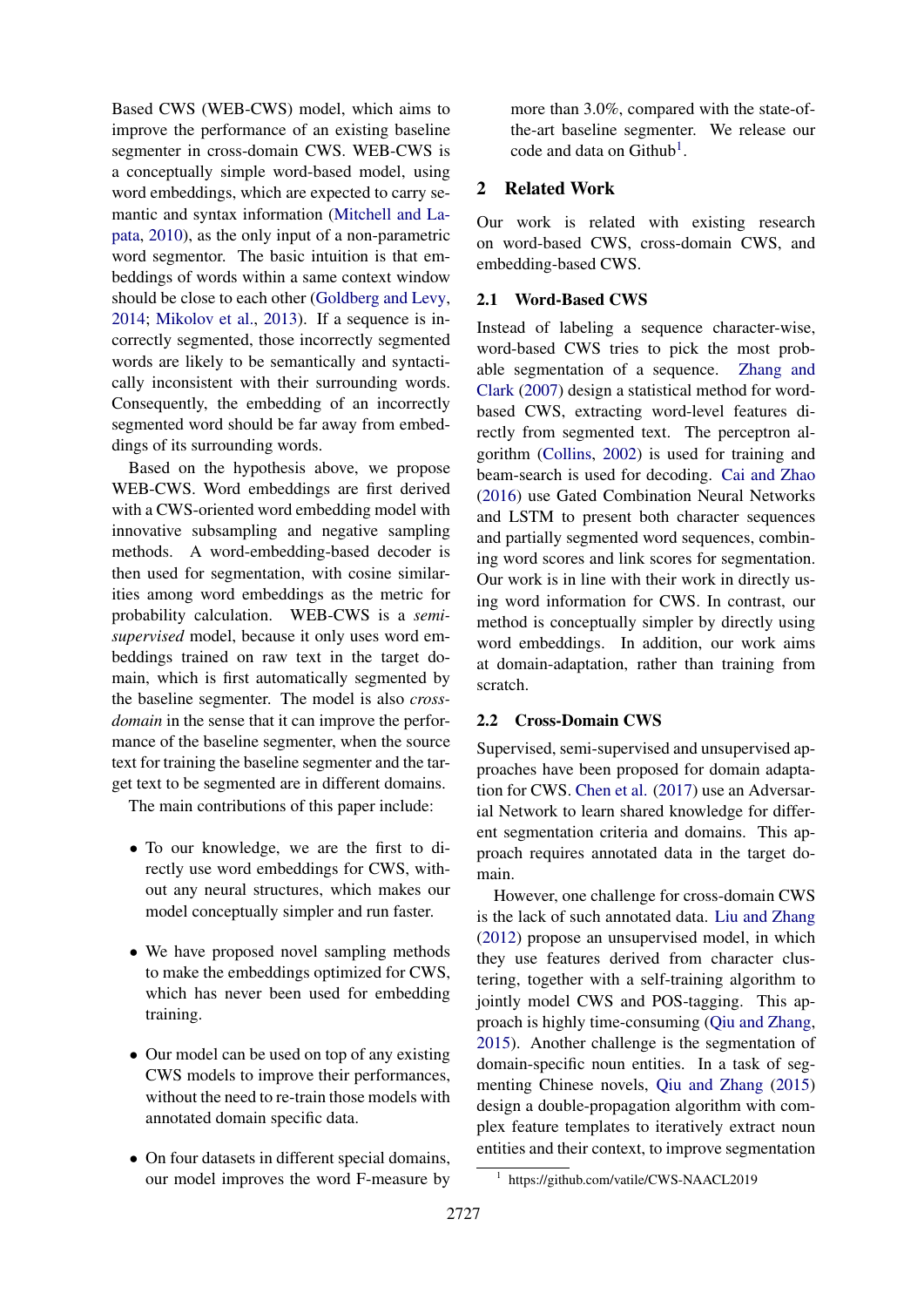Based CWS (WEB-CWS) model, which aims to improve the performance of an existing baseline segmenter in cross-domain CWS. WEB-CWS is a conceptually simple word-based model, using word embeddings, which are expected to carry semantic and syntax information [\(Mitchell and La](#page-8-12)[pata,](#page-8-12) [2010\)](#page-8-12), as the only input of a non-parametric word segmentor. The basic intuition is that embeddings of words within a same context window should be close to each other [\(Goldberg and Levy,](#page-8-13) [2014;](#page-8-13) [Mikolov et al.,](#page-8-14) [2013\)](#page-8-14). If a sequence is incorrectly segmented, those incorrectly segmented words are likely to be semantically and syntactically inconsistent with their surrounding words. Consequently, the embedding of an incorrectly segmented word should be far away from embeddings of its surrounding words.

Based on the hypothesis above, we propose WEB-CWS. Word embeddings are first derived with a CWS-oriented word embedding model with innovative subsampling and negative sampling methods. A word-embedding-based decoder is then used for segmentation, with cosine similarities among word embeddings as the metric for probability calculation. WEB-CWS is a *semisupervised* model, because it only uses word embeddings trained on raw text in the target domain, which is first automatically segmented by the baseline segmenter. The model is also *crossdomain* in the sense that it can improve the performance of the baseline segmenter, when the source text for training the baseline segmenter and the target text to be segmented are in different domains.

The main contributions of this paper include:

- To our knowledge, we are the first to directly use word embeddings for CWS, without any neural structures, which makes our model conceptually simpler and run faster.
- We have proposed novel sampling methods to make the embeddings optimized for CWS, which has never been used for embedding training.
- Our model can be used on top of any existing CWS models to improve their performances, without the need to re-train those models with annotated domain specific data.
- On four datasets in different special domains, our model improves the word F-measure by

more than 3.0%, compared with the state-ofthe-art baseline segmenter. We release our code and data on Github<sup>[1](#page-1-0)</sup>.

# 2 Related Work

Our work is related with existing research on word-based CWS, cross-domain CWS, and embedding-based CWS.

# 2.1 Word-Based CWS

Instead of labeling a sequence character-wise, word-based CWS tries to pick the most probable segmentation of a sequence. [Zhang and](#page-8-5) [Clark](#page-8-5) [\(2007\)](#page-8-5) design a statistical method for wordbased CWS, extracting word-level features directly from segmented text. The perceptron algorithm [\(Collins,](#page-8-15) [2002\)](#page-8-15) is used for training and beam-search is used for decoding. [Cai and Zhao](#page-8-0) [\(2016\)](#page-8-0) use Gated Combination Neural Networks and LSTM to present both character sequences and partially segmented word sequences, combining word scores and link scores for segmentation. Our work is in line with their work in directly using word information for CWS. In contrast, our method is conceptually simpler by directly using word embeddings. In addition, our work aims at domain-adaptation, rather than training from scratch.

# 2.2 Cross-Domain CWS

Supervised, semi-supervised and unsupervised approaches have been proposed for domain adaptation for CWS. [Chen et al.](#page-8-7) [\(2017\)](#page-8-7) use an Adversarial Network to learn shared knowledge for different segmentation criteria and domains. This approach requires annotated data in the target domain.

However, one challenge for cross-domain CWS is the lack of such annotated data. [Liu and Zhang](#page-8-8) [\(2012\)](#page-8-8) propose an unsupervised model, in which they use features derived from character clustering, together with a self-training algorithm to jointly model CWS and POS-tagging. This approach is highly time-consuming [\(Qiu and Zhang,](#page-8-11) [2015\)](#page-8-11). Another challenge is the segmentation of domain-specific noun entities. In a task of segmenting Chinese novels, [Qiu and Zhang](#page-8-11) [\(2015\)](#page-8-11) design a double-propagation algorithm with complex feature templates to iteratively extract noun entities and their context, to improve segmentation

<span id="page-1-0"></span><sup>1</sup> https://github.com/vatile/CWS-NAACL2019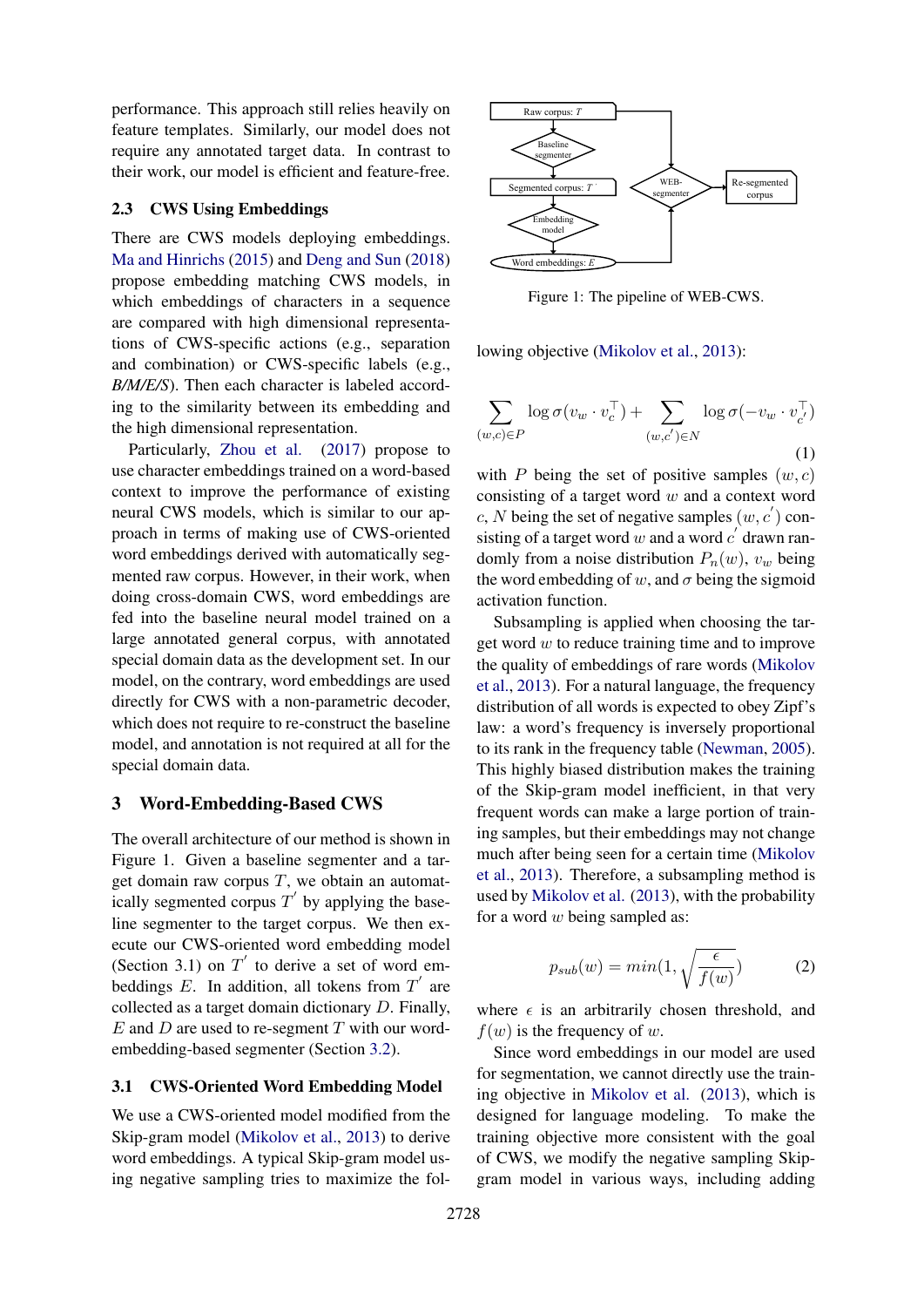performance. This approach still relies heavily on feature templates. Similarly, our model does not require any annotated target data. In contrast to their work, our model is efficient and feature-free.

#### 2.3 CWS Using Embeddings

There are CWS models deploying embeddings. [Ma and Hinrichs](#page-8-16) [\(2015\)](#page-8-16) and [Deng and Sun](#page-8-17) [\(2018\)](#page-8-17) propose embedding matching CWS models, in which embeddings of characters in a sequence are compared with high dimensional representations of CWS-specific actions (e.g., separation and combination) or CWS-specific labels (e.g., *B/M/E/S*). Then each character is labeled according to the similarity between its embedding and the high dimensional representation.

Particularly, [Zhou et al.](#page-9-1) [\(2017\)](#page-9-1) propose to use character embeddings trained on a word-based context to improve the performance of existing neural CWS models, which is similar to our approach in terms of making use of CWS-oriented word embeddings derived with automatically segmented raw corpus. However, in their work, when doing cross-domain CWS, word embeddings are fed into the baseline neural model trained on a large annotated general corpus, with annotated special domain data as the development set. In our model, on the contrary, word embeddings are used directly for CWS with a non-parametric decoder, which does not require to re-construct the baseline model, and annotation is not required at all for the special domain data.

#### 3 Word-Embedding-Based CWS

The overall architecture of our method is shown in Figure 1. Given a baseline segmenter and a target domain raw corpus  $T$ , we obtain an automatically segmented corpus  $T'$  by applying the baseline segmenter to the target corpus. We then execute our CWS-oriented word embedding model (Section 3.1) on  $T'$  to derive a set of word embeddings  $E$ . In addition, all tokens from  $T'$  are collected as a target domain dictionary D. Finally,  $E$  and  $D$  are used to re-segment  $T$  with our wordembedding-based segmenter (Section [3.2\)](#page-4-0).

#### 3.1 CWS-Oriented Word Embedding Model

We use a CWS-oriented model modified from the Skip-gram model [\(Mikolov et al.,](#page-8-14) [2013\)](#page-8-14) to derive word embeddings. A typical Skip-gram model using negative sampling tries to maximize the fol-



Figure 1: The pipeline of WEB-CWS.

lowing objective [\(Mikolov et al.,](#page-8-14) [2013\)](#page-8-14):

$$
\sum_{(w,c)\in P} \log \sigma(v_w \cdot v_c^{\top}) + \sum_{(w,c')\in N} \log \sigma(-v_w \cdot v_{c'}^{\top})
$$
\n(1)

with P being the set of positive samples  $(w, c)$ consisting of a target word  $w$  and a context word c, N being the set of negative samples  $(w, c')$  consisting of a target word w and a word  $c'$  drawn randomly from a noise distribution  $P_n(w)$ ,  $v_w$  being the word embedding of w, and  $\sigma$  being the sigmoid activation function.

Subsampling is applied when choosing the target word  $w$  to reduce training time and to improve the quality of embeddings of rare words [\(Mikolov](#page-8-14) [et al.,](#page-8-14) [2013\)](#page-8-14). For a natural language, the frequency distribution of all words is expected to obey Zipf's law: a word's frequency is inversely proportional to its rank in the frequency table [\(Newman,](#page-8-18) [2005\)](#page-8-18). This highly biased distribution makes the training of the Skip-gram model inefficient, in that very frequent words can make a large portion of training samples, but their embeddings may not change much after being seen for a certain time [\(Mikolov](#page-8-14) [et al.,](#page-8-14) [2013\)](#page-8-14). Therefore, a subsampling method is used by [Mikolov et al.](#page-8-14) [\(2013\)](#page-8-14), with the probability for a word  $w$  being sampled as:

$$
p_{sub}(w) = min(1, \sqrt{\frac{\epsilon}{f(w)}})
$$
 (2)

where  $\epsilon$  is an arbitrarily chosen threshold, and  $f(w)$  is the frequency of w.

Since word embeddings in our model are used for segmentation, we cannot directly use the training objective in [Mikolov et al.](#page-8-14) [\(2013\)](#page-8-14), which is designed for language modeling. To make the training objective more consistent with the goal of CWS, we modify the negative sampling Skipgram model in various ways, including adding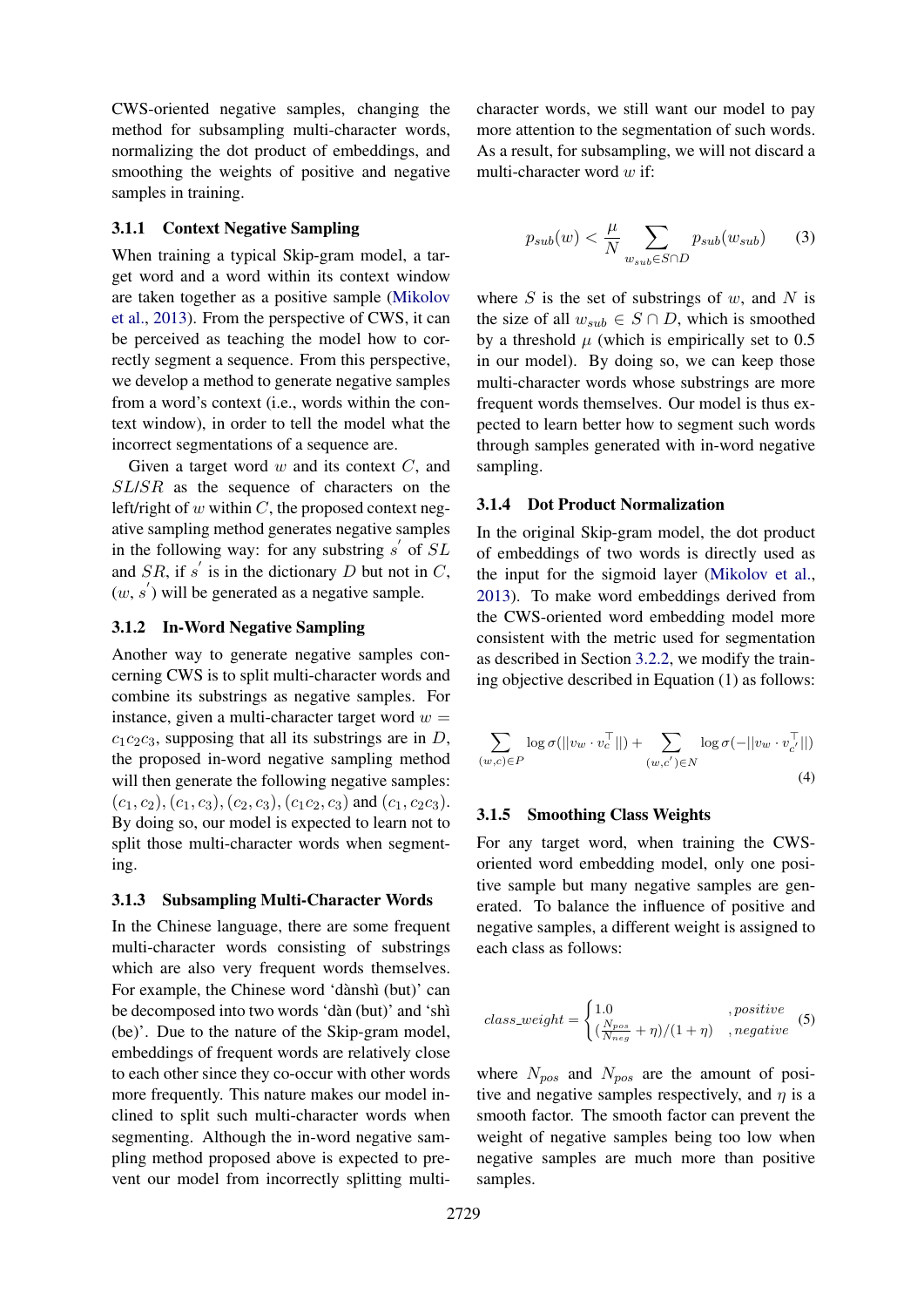CWS-oriented negative samples, changing the method for subsampling multi-character words, normalizing the dot product of embeddings, and smoothing the weights of positive and negative samples in training.

# 3.1.1 Context Negative Sampling

When training a typical Skip-gram model, a target word and a word within its context window are taken together as a positive sample [\(Mikolov](#page-8-14) [et al.,](#page-8-14) [2013\)](#page-8-14). From the perspective of CWS, it can be perceived as teaching the model how to correctly segment a sequence. From this perspective, we develop a method to generate negative samples from a word's context (i.e., words within the context window), in order to tell the model what the incorrect segmentations of a sequence are.

Given a target word  $w$  and its context  $C$ , and SL/SR as the sequence of characters on the left/right of  $w$  within  $C$ , the proposed context negative sampling method generates negative samples in the following way: for any substring  $s'$  of  $SL$ and  $SR$ , if s' is in the dictionary D but not in C,  $(w, s')$  will be generated as a negative sample.

# 3.1.2 In-Word Negative Sampling

Another way to generate negative samples concerning CWS is to split multi-character words and combine its substrings as negative samples. For instance, given a multi-character target word  $w =$  $c_1c_2c_3$ , supposing that all its substrings are in D, the proposed in-word negative sampling method will then generate the following negative samples:  $(c_1, c_2), (c_1, c_3), (c_2, c_3), (c_1c_2, c_3)$  and  $(c_1, c_2c_3)$ . By doing so, our model is expected to learn not to split those multi-character words when segmenting.

### 3.1.3 Subsampling Multi-Character Words

In the Chinese language, there are some frequent multi-character words consisting of substrings which are also very frequent words themselves. For example, the Chinese word 'dànshì (but)' can be decomposed into two words 'dàn (but)' and 'shì (be)'. Due to the nature of the Skip-gram model, embeddings of frequent words are relatively close to each other since they co-occur with other words more frequently. This nature makes our model inclined to split such multi-character words when segmenting. Although the in-word negative sampling method proposed above is expected to prevent our model from incorrectly splitting multicharacter words, we still want our model to pay more attention to the segmentation of such words. As a result, for subsampling, we will not discard a multi-character word  $w$  if:

$$
p_{sub}(w) < \frac{\mu}{N} \sum_{w_{sub} \in S \cap D} p_{sub}(w_{sub}) \tag{3}
$$

where  $S$  is the set of substrings of  $w$ , and  $N$  is the size of all  $w_{sub} \in S \cap D$ , which is smoothed by a threshold  $\mu$  (which is empirically set to 0.5 in our model). By doing so, we can keep those multi-character words whose substrings are more frequent words themselves. Our model is thus expected to learn better how to segment such words through samples generated with in-word negative sampling.

### 3.1.4 Dot Product Normalization

In the original Skip-gram model, the dot product of embeddings of two words is directly used as the input for the sigmoid layer [\(Mikolov et al.,](#page-8-14) [2013\)](#page-8-14). To make word embeddings derived from the CWS-oriented word embedding model more consistent with the metric used for segmentation as described in Section [3.2.2,](#page-4-1) we modify the training objective described in Equation (1) as follows:

$$
\sum_{(w,c)\in P} \log \sigma(||v_w \cdot v_c^{\top}||) + \sum_{(w,c')\in N} \log \sigma(-||v_w \cdot v_{c'}^{\top}||)
$$
\n(4)

#### 3.1.5 Smoothing Class Weights

For any target word, when training the CWSoriented word embedding model, only one positive sample but many negative samples are generated. To balance the influence of positive and negative samples, a different weight is assigned to each class as follows:

$$
class\_weight = \begin{cases} 1.0 & , positive \\ (\frac{N_{pos}}{N_{neg}} + \eta)/(1 + \eta) & , negative \end{cases} (5)
$$

where  $N_{pos}$  and  $N_{pos}$  are the amount of positive and negative samples respectively, and  $\eta$  is a smooth factor. The smooth factor can prevent the weight of negative samples being too low when negative samples are much more than positive samples.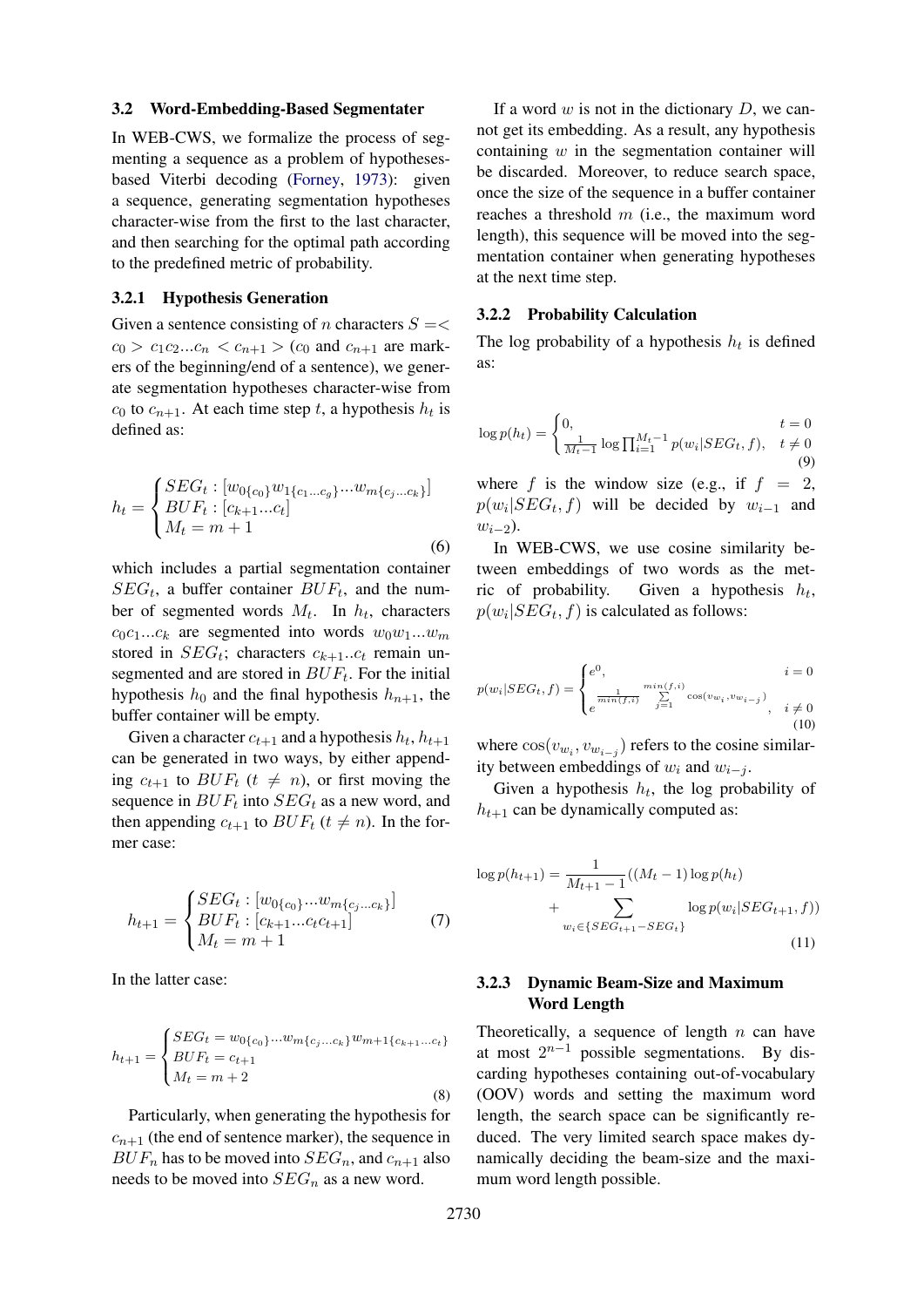#### <span id="page-4-0"></span>3.2 Word-Embedding-Based Segmentater

In WEB-CWS, we formalize the process of segmenting a sequence as a problem of hypothesesbased Viterbi decoding [\(Forney,](#page-8-19) [1973\)](#page-8-19): given a sequence, generating segmentation hypotheses character-wise from the first to the last character, and then searching for the optimal path according to the predefined metric of probability.

# 3.2.1 Hypothesis Generation

Given a sentence consisting of n characters  $S = \lt$  $c_0 > c_1 c_2 ... c_n < c_{n+1} > (c_0 \text{ and } c_{n+1} \text{ are mark-}$ ers of the beginning/end of a sentence), we generate segmentation hypotheses character-wise from  $c_0$  to  $c_{n+1}$ . At each time step t, a hypothesis  $h_t$  is defined as:

$$
h_t = \begin{cases} SEG_t : [w_{0\{c_0\}}w_{1\{c_1...c_g\}}...w_{m\{c_j...c_k\}}] \\ BUF_t : [c_{k+1}...c_t] \\ M_t = m+1 \end{cases}
$$
(6)

which includes a partial segmentation container  $SEG_t$ , a buffer container  $BUF_t$ , and the number of segmented words  $M_t$ . In  $h_t$ , characters  $c_0c_1...c_k$  are segmented into words  $w_0w_1...w_m$ stored in  $SEG_t$ ; characters  $c_{k+1}...c_t$  remain unsegmented and are stored in  $BUF_t$ . For the initial hypothesis  $h_0$  and the final hypothesis  $h_{n+1}$ , the buffer container will be empty.

Given a character  $c_{t+1}$  and a hypothesis  $h_t$ ,  $h_{t+1}$ can be generated in two ways, by either appending  $c_{t+1}$  to  $BUF_t$  ( $t \neq n$ ), or first moving the sequence in  $BUF_t$  into  $SEG_t$  as a new word, and then appending  $c_{t+1}$  to  $BUF_t$  ( $t \neq n$ ). In the former case:

$$
h_{t+1} = \begin{cases} SEG_t : [w_{0\{c_0\}}...w_{m\{c_j...c_k\}}] \\ BUF_t : [c_{k+1}...c_t c_{t+1}] \\ M_t = m+1 \end{cases}
$$
(7)

In the latter case:

$$
h_{t+1} = \begin{cases} SEG_t = w_{0{c_0}}...w_{m{c_j}...c_k}w_{m+1{c_{k+1}...c_t}} \\ BUF_t = c_{t+1} \\ M_t = m+2 \end{cases}
$$
(8)

Particularly, when generating the hypothesis for  $c_{n+1}$  (the end of sentence marker), the sequence in  $BUF_n$  has to be moved into  $SEG_n$ , and  $c_{n+1}$  also needs to be moved into  $SEG_n$  as a new word.

If a word  $w$  is not in the dictionary  $D$ , we cannot get its embedding. As a result, any hypothesis containing  $w$  in the segmentation container will be discarded. Moreover, to reduce search space, once the size of the sequence in a buffer container reaches a threshold  $m$  (i.e., the maximum word length), this sequence will be moved into the segmentation container when generating hypotheses at the next time step.

#### <span id="page-4-1"></span>3.2.2 Probability Calculation

The log probability of a hypothesis  $h_t$  is defined as:

$$
\log p(h_t) = \begin{cases} 0, & t = 0\\ \frac{1}{M_t - 1} \log \prod_{i=1}^{M_t - 1} p(w_i | SEG_t, f), & t \neq 0 \end{cases}
$$
  
\nwhere *f* is the window size (e.g., if  $f = 2$ ,  
\n $p(w_i | SEG_t, f)$  will be decided by  $w_{i-1}$  and  
\n $w_{i-2}$ ).

In WEB-CWS, we use cosine similarity between embeddings of two words as the metric of probability. Given a hypothesis  $h_t$ ,  $p(w_i|SEG_t, f)$  is calculated as follows:

$$
p(w_i|SEG_t, f) = \begin{cases} e^0, & i = 0\\ e^{\frac{1}{min(f,i)}} \sum_{j=1}^{min(f,i)} \cos(v_{w_i}, v_{w_{i-j}}), & i \neq 0\\ e^{\frac{1}{min(f,i)}} \end{cases}
$$
(10)

where  $cos(v_{w_i}, v_{w_{i-j}})$  refers to the cosine similarity between embeddings of  $w_i$  and  $w_{i-j}$ .

Given a hypothesis  $h_t$ , the log probability of  $h_{t+1}$  can be dynamically computed as:

$$
\log p(h_{t+1}) = \frac{1}{M_{t+1} - 1}((M_t - 1)\log p(h_t) + \sum_{w_i \in \{SEG_{t+1} - SEG_t\}} \log p(w_i|SEG_{t+1}, f))
$$
\n(11)

# 3.2.3 Dynamic Beam-Size and Maximum Word Length

Theoretically, a sequence of length  $n$  can have at most  $2^{n-1}$  possible segmentations. By discarding hypotheses containing out-of-vocabulary (OOV) words and setting the maximum word length, the search space can be significantly reduced. The very limited search space makes dynamically deciding the beam-size and the maximum word length possible.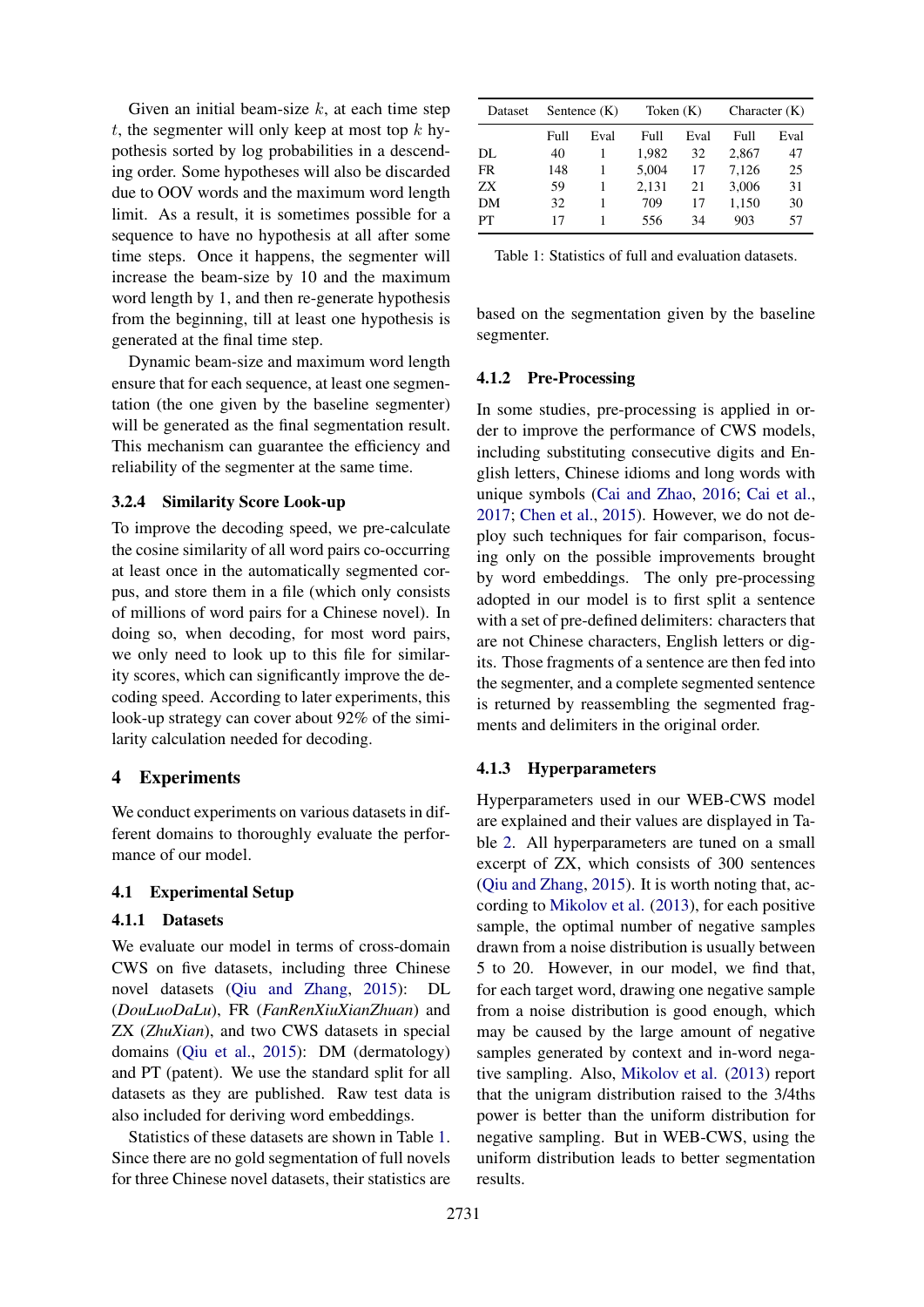Given an initial beam-size  $k$ , at each time step t, the segmenter will only keep at most top  $k$  hypothesis sorted by log probabilities in a descending order. Some hypotheses will also be discarded due to OOV words and the maximum word length limit. As a result, it is sometimes possible for a sequence to have no hypothesis at all after some time steps. Once it happens, the segmenter will increase the beam-size by 10 and the maximum word length by 1, and then re-generate hypothesis from the beginning, till at least one hypothesis is generated at the final time step.

Dynamic beam-size and maximum word length ensure that for each sequence, at least one segmentation (the one given by the baseline segmenter) will be generated as the final segmentation result. This mechanism can guarantee the efficiency and reliability of the segmenter at the same time.

### 3.2.4 Similarity Score Look-up

To improve the decoding speed, we pre-calculate the cosine similarity of all word pairs co-occurring at least once in the automatically segmented corpus, and store them in a file (which only consists of millions of word pairs for a Chinese novel). In doing so, when decoding, for most word pairs, we only need to look up to this file for similarity scores, which can significantly improve the decoding speed. According to later experiments, this look-up strategy can cover about 92% of the similarity calculation needed for decoding.

# 4 Experiments

We conduct experiments on various datasets in different domains to thoroughly evaluate the performance of our model.

# 4.1 Experimental Setup

### 4.1.1 Datasets

We evaluate our model in terms of cross-domain CWS on five datasets, including three Chinese novel datasets [\(Qiu and Zhang,](#page-8-11) [2015\)](#page-8-11): DL (*DouLuoDaLu*), FR (*FanRenXiuXianZhuan*) and ZX (*ZhuXian*), and two CWS datasets in special domains [\(Qiu et al.,](#page-8-20) [2015\)](#page-8-20): DM (dermatology) and PT (patent). We use the standard split for all datasets as they are published. Raw test data is also included for deriving word embeddings.

Statistics of these datasets are shown in Table [1.](#page-5-0) Since there are no gold segmentation of full novels for three Chinese novel datasets, their statistics are

<span id="page-5-0"></span>

| Dataset | Sentence $(K)$ |      | Token $(K)$ |      | Character $(K)$ |      |
|---------|----------------|------|-------------|------|-----------------|------|
|         | Full           | Eval | Full        | Eval | Full            | Eval |
| DL      | 40             |      | 1.982       | 32   | 2,867           | 47   |
| FR.     | 148            | 1    | 5,004       | 17   | 7,126           | 25   |
| ZΧ      | 59             |      | 2,131       | 21   | 3,006           | 31   |
| DM      | 32             |      | 709         | 17   | 1,150           | 30   |
| PT      | 17             |      | 556         | 34   | 903             | 57   |

Table 1: Statistics of full and evaluation datasets.

based on the segmentation given by the baseline segmenter.

#### 4.1.2 Pre-Processing

In some studies, pre-processing is applied in order to improve the performance of CWS models, including substituting consecutive digits and English letters, Chinese idioms and long words with unique symbols [\(Cai and Zhao,](#page-8-0) [2016;](#page-8-0) [Cai et al.,](#page-8-21) [2017;](#page-8-21) [Chen et al.,](#page-8-6) [2015\)](#page-8-6). However, we do not deploy such techniques for fair comparison, focusing only on the possible improvements brought by word embeddings. The only pre-processing adopted in our model is to first split a sentence with a set of pre-defined delimiters: characters that are not Chinese characters, English letters or digits. Those fragments of a sentence are then fed into the segmenter, and a complete segmented sentence is returned by reassembling the segmented fragments and delimiters in the original order.

#### 4.1.3 Hyperparameters

Hyperparameters used in our WEB-CWS model are explained and their values are displayed in Table [2.](#page-6-0) All hyperparameters are tuned on a small excerpt of ZX, which consists of 300 sentences [\(Qiu and Zhang,](#page-8-11) [2015\)](#page-8-11). It is worth noting that, according to [Mikolov et al.](#page-8-14) [\(2013\)](#page-8-14), for each positive sample, the optimal number of negative samples drawn from a noise distribution is usually between 5 to 20. However, in our model, we find that, for each target word, drawing one negative sample from a noise distribution is good enough, which may be caused by the large amount of negative samples generated by context and in-word negative sampling. Also, [Mikolov et al.](#page-8-14) [\(2013\)](#page-8-14) report that the unigram distribution raised to the 3/4ths power is better than the uniform distribution for negative sampling. But in WEB-CWS, using the uniform distribution leads to better segmentation results.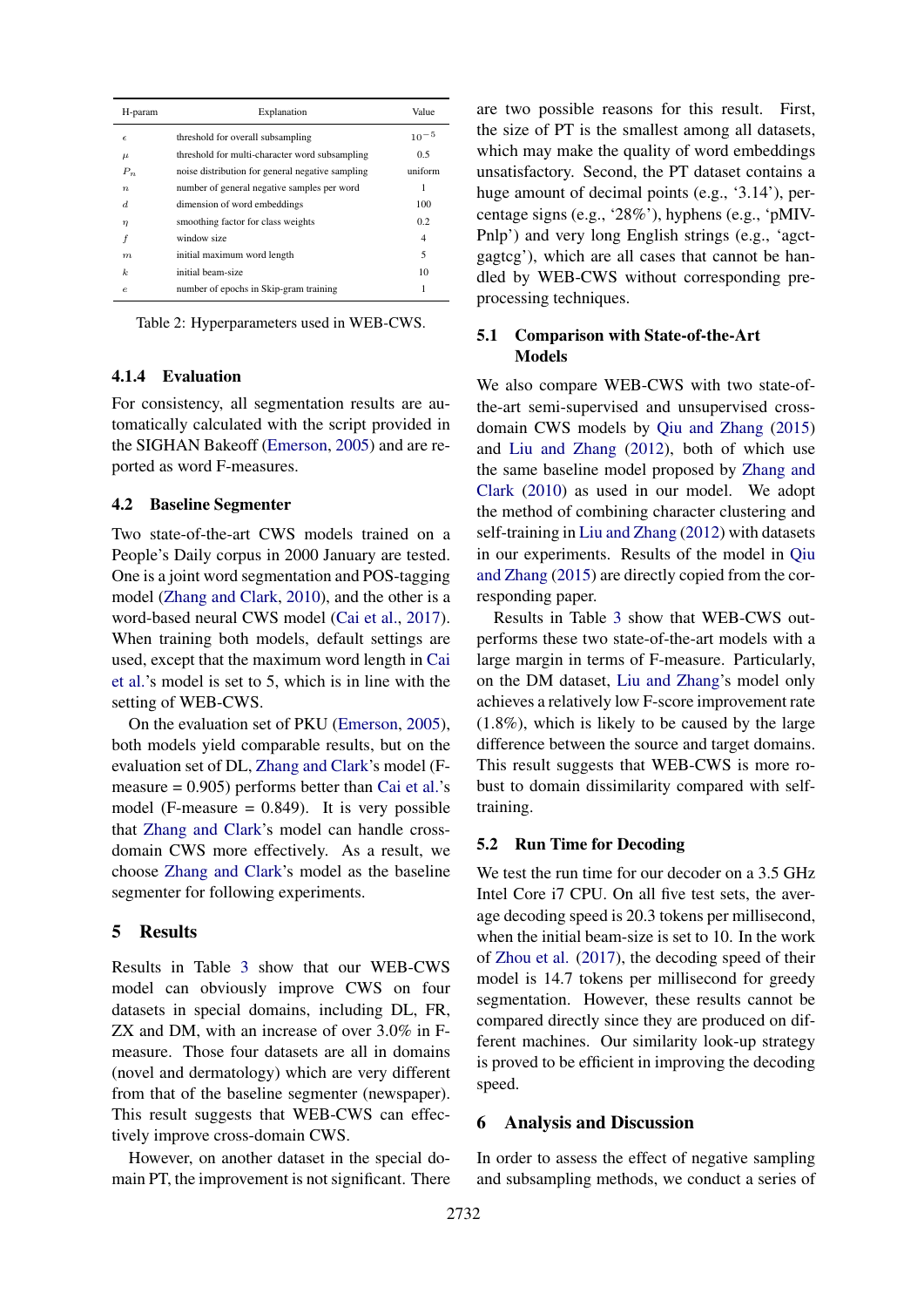<span id="page-6-0"></span>

| H-param          | Explanation                                      | Value     |
|------------------|--------------------------------------------------|-----------|
| $\epsilon$       | threshold for overall subsampling                | $10^{-5}$ |
| $\mu$            | threshold for multi-character word subsampling   | 0.5       |
| $P_n$            | noise distribution for general negative sampling | uniform   |
| $\boldsymbol{n}$ | number of general negative samples per word      | 1         |
| d.               | dimension of word embeddings                     | 100       |
| $\eta$           | smoothing factor for class weights               | 0.2       |
|                  | window size                                      | 4         |
| m                | initial maximum word length                      | 5         |
| $\boldsymbol{k}$ | initial beam-size                                | 10        |
| $\epsilon$       | number of epochs in Skip-gram training           | 1         |

Table 2: Hyperparameters used in WEB-CWS.

# 4.1.4 Evaluation

For consistency, all segmentation results are automatically calculated with the script provided in the SIGHAN Bakeoff [\(Emerson,](#page-8-22) [2005\)](#page-8-22) and are reported as word F-measures.

# 4.2 Baseline Segmenter

Two state-of-the-art CWS models trained on a People's Daily corpus in 2000 January are tested. One is a joint word segmentation and POS-tagging model [\(Zhang and Clark,](#page-9-2) [2010\)](#page-9-2), and the other is a word-based neural CWS model [\(Cai et al.,](#page-8-21) [2017\)](#page-8-21). When training both models, default settings are used, except that the maximum word length in [Cai](#page-8-21) [et al.'](#page-8-21)s model is set to 5, which is in line with the setting of WEB-CWS.

On the evaluation set of PKU [\(Emerson,](#page-8-22) [2005\)](#page-8-22), both models yield comparable results, but on the evaluation set of DL, [Zhang and Clark'](#page-9-2)s model (Fmeasure  $= 0.905$ ) performs better than [Cai et al.'](#page-8-21)s model (F-measure  $= 0.849$ ). It is very possible that [Zhang and Clark'](#page-9-2)s model can handle crossdomain CWS more effectively. As a result, we choose [Zhang and Clark'](#page-9-2)s model as the baseline segmenter for following experiments.

### 5 Results

Results in Table [3](#page-7-0) show that our WEB-CWS model can obviously improve CWS on four datasets in special domains, including DL, FR, ZX and DM, with an increase of over 3.0% in Fmeasure. Those four datasets are all in domains (novel and dermatology) which are very different from that of the baseline segmenter (newspaper). This result suggests that WEB-CWS can effectively improve cross-domain CWS.

However, on another dataset in the special domain PT, the improvement is not significant. There are two possible reasons for this result. First, the size of PT is the smallest among all datasets, which may make the quality of word embeddings unsatisfactory. Second, the PT dataset contains a huge amount of decimal points (e.g., '3.14'), percentage signs (e.g., '28%'), hyphens (e.g., 'pMIV-Pnlp') and very long English strings (e.g., 'agctgagtcg'), which are all cases that cannot be handled by WEB-CWS without corresponding preprocessing techniques.

# 5.1 Comparison with State-of-the-Art Models

We also compare WEB-CWS with two state-ofthe-art semi-supervised and unsupervised crossdomain CWS models by [Qiu and Zhang](#page-8-11) [\(2015\)](#page-8-11) and [Liu and Zhang](#page-8-8) [\(2012\)](#page-8-8), both of which use the same baseline model proposed by [Zhang and](#page-9-2) [Clark](#page-9-2) [\(2010\)](#page-9-2) as used in our model. We adopt the method of combining character clustering and self-training in [Liu and Zhang](#page-8-8) [\(2012\)](#page-8-8) with datasets in our experiments. Results of the model in [Qiu](#page-8-11) [and Zhang](#page-8-11) [\(2015\)](#page-8-11) are directly copied from the corresponding paper.

Results in Table [3](#page-7-0) show that WEB-CWS outperforms these two state-of-the-art models with a large margin in terms of F-measure. Particularly, on the DM dataset, [Liu and Zhang'](#page-8-8)s model only achieves a relatively low F-score improvement rate (1.8%), which is likely to be caused by the large difference between the source and target domains. This result suggests that WEB-CWS is more robust to domain dissimilarity compared with selftraining.

### 5.2 Run Time for Decoding

We test the run time for our decoder on a 3.5 GHz Intel Core i7 CPU. On all five test sets, the average decoding speed is 20.3 tokens per millisecond, when the initial beam-size is set to 10. In the work of [Zhou et al.](#page-9-1) [\(2017\)](#page-9-1), the decoding speed of their model is 14.7 tokens per millisecond for greedy segmentation. However, these results cannot be compared directly since they are produced on different machines. Our similarity look-up strategy is proved to be efficient in improving the decoding speed.

### 6 Analysis and Discussion

In order to assess the effect of negative sampling and subsampling methods, we conduct a series of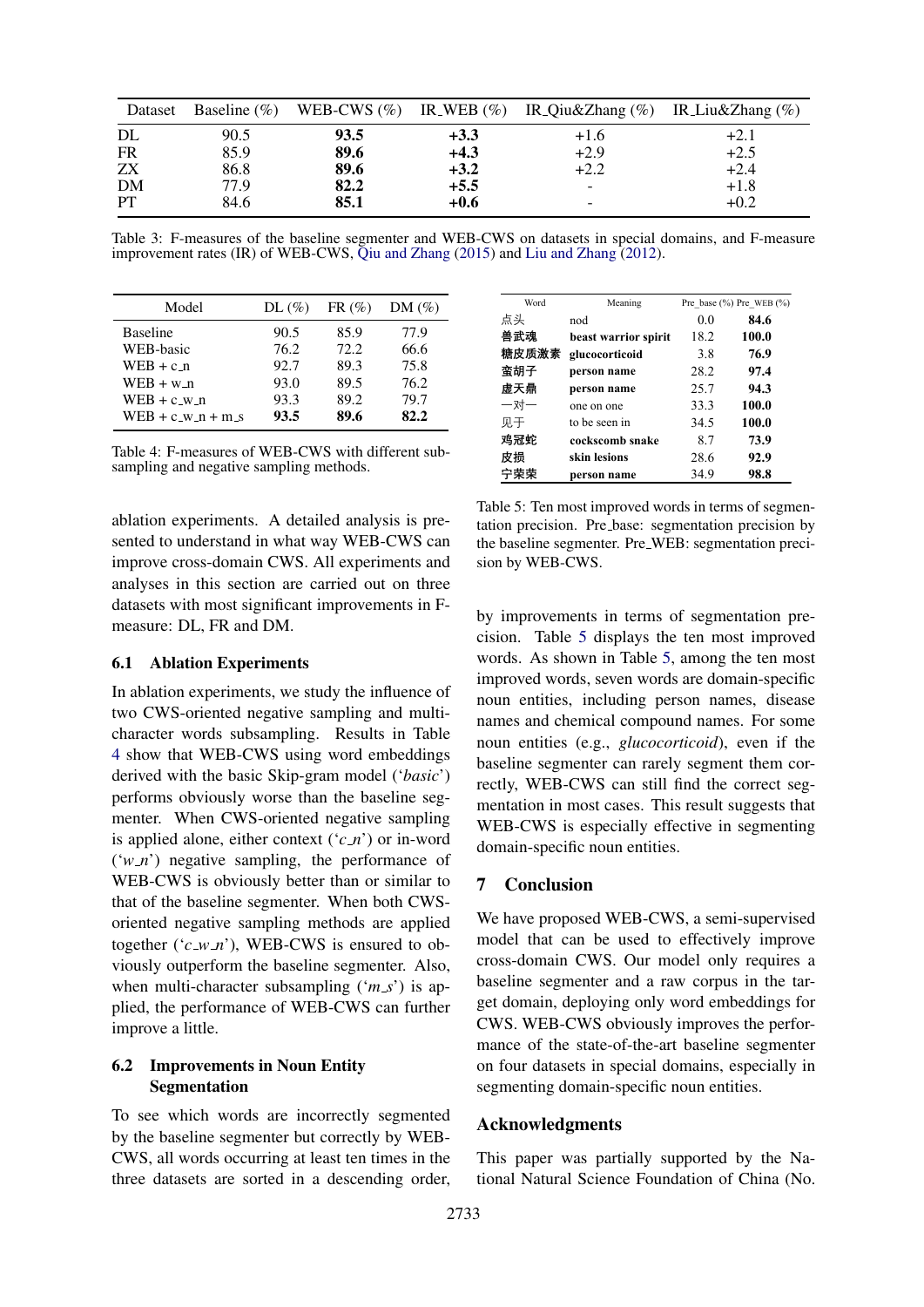<span id="page-7-0"></span>

| Dataset   |      |      |        | Baseline (%) WEB-CWS (%) IR_WEB (%) IR_Qiu&Zhang (%) IR_Liu&Zhang (%) |        |
|-----------|------|------|--------|-----------------------------------------------------------------------|--------|
| DL        | 90.5 | 93.5 | $+3.3$ | $+1.6$                                                                | $+2.1$ |
| <b>FR</b> | 85.9 | 89.6 | $+4.3$ | $+2.9$                                                                | $+2.5$ |
| ZΧ        | 86.8 | 89.6 | $+3.2$ | $+2.2$                                                                | $+2.4$ |
| DM        | 77.9 | 82.2 | $+5.5$ | $\overline{\phantom{0}}$                                              | $+1.8$ |
| <b>PT</b> | 84.6 | 85.1 | $+0.6$ | $\overline{\phantom{0}}$                                              | $+0.2$ |

Table 3: F-measures of the baseline segmenter and WEB-CWS on datasets in special domains, and F-measure improvement rates (IR) of WEB-CWS, [Qiu and Zhang](#page-8-11) [\(2015\)](#page-8-11) and [Liu and Zhang](#page-8-8) [\(2012\)](#page-8-8).

<span id="page-7-1"></span>

| Model               | DL(%) | $FR(\%)$ | $DM(\%)$ |
|---------------------|-------|----------|----------|
| <b>Baseline</b>     | 90.5  | 85.9     | 77.9     |
| WEB-basic           | 76.2  | 72.2     | 66.6     |
| $WEB + c n$         | 92.7  | 89.3     | 75.8     |
| $WEB + w_n$         | 93.0  | 89.5     | 76.2     |
| $WEB + c_w$         | 93.3  | 89.2     | 79.7     |
| $WEB + c_w_n + m_s$ | 93.5  | 89.6     | 82.2     |

Table 4: F-measures of WEB-CWS with different subsampling and negative sampling methods.

ablation experiments. A detailed analysis is presented to understand in what way WEB-CWS can improve cross-domain CWS. All experiments and analyses in this section are carried out on three datasets with most significant improvements in Fmeasure: DL, FR and DM.

# 6.1 Ablation Experiments

In ablation experiments, we study the influence of two CWS-oriented negative sampling and multicharacter words subsampling. Results in Table [4](#page-7-1) show that WEB-CWS using word embeddings derived with the basic Skip-gram model ('*basic*') performs obviously worse than the baseline segmenter. When CWS-oriented negative sampling is applied alone, either context ('*c n*') or in-word  $('w<sub>n</sub>')$  negative sampling, the performance of WEB-CWS is obviously better than or similar to that of the baseline segmenter. When both CWSoriented negative sampling methods are applied together  $('c_w.n')$ , WEB-CWS is ensured to obviously outperform the baseline segmenter. Also, when multi-character subsampling  $(m_s)$  is applied, the performance of WEB-CWS can further improve a little.

# 6.2 Improvements in Noun Entity Segmentation

To see which words are incorrectly segmented by the baseline segmenter but correctly by WEB-CWS, all words occurring at least ten times in the three datasets are sorted in a descending order,

<span id="page-7-2"></span>

| Word  | Meaning              |      | Pre base $(\%)$ Pre WEB $(\%)$ |
|-------|----------------------|------|--------------------------------|
| 点头    | nod                  | 0.0  | 84.6                           |
| 兽武魂   | beast warrior spirit | 18.2 | 100.0                          |
| 糖皮质激素 | glucocorticoid       | 3.8  | 76.9                           |
| 蛮胡子   | person name          | 28.2 | 97.4                           |
| 虚天鼎   | person name          | 25.7 | 94.3                           |
| 一对一   | one on one           | 33.3 | 100.0                          |
| 见于    | to be seen in        | 34.5 | 100.0                          |
| 鸡冠蛇   | cockscomb snake      | 8.7  | 73.9                           |
| 皮损    | skin lesions         | 28.6 | 92.9                           |
| 宁荣荣   | person name          | 34.9 | 98.8                           |

Table 5: Ten most improved words in terms of segmentation precision. Pre base: segmentation precision by the baseline segmenter. Pre WEB: segmentation precision by WEB-CWS.

by improvements in terms of segmentation precision. Table [5](#page-7-2) displays the ten most improved words. As shown in Table [5,](#page-7-2) among the ten most improved words, seven words are domain-specific noun entities, including person names, disease names and chemical compound names. For some noun entities (e.g., *glucocorticoid*), even if the baseline segmenter can rarely segment them correctly, WEB-CWS can still find the correct segmentation in most cases. This result suggests that WEB-CWS is especially effective in segmenting domain-specific noun entities.

# 7 Conclusion

We have proposed WEB-CWS, a semi-supervised model that can be used to effectively improve cross-domain CWS. Our model only requires a baseline segmenter and a raw corpus in the target domain, deploying only word embeddings for CWS. WEB-CWS obviously improves the performance of the state-of-the-art baseline segmenter on four datasets in special domains, especially in segmenting domain-specific noun entities.

### Acknowledgments

This paper was partially supported by the National Natural Science Foundation of China (No.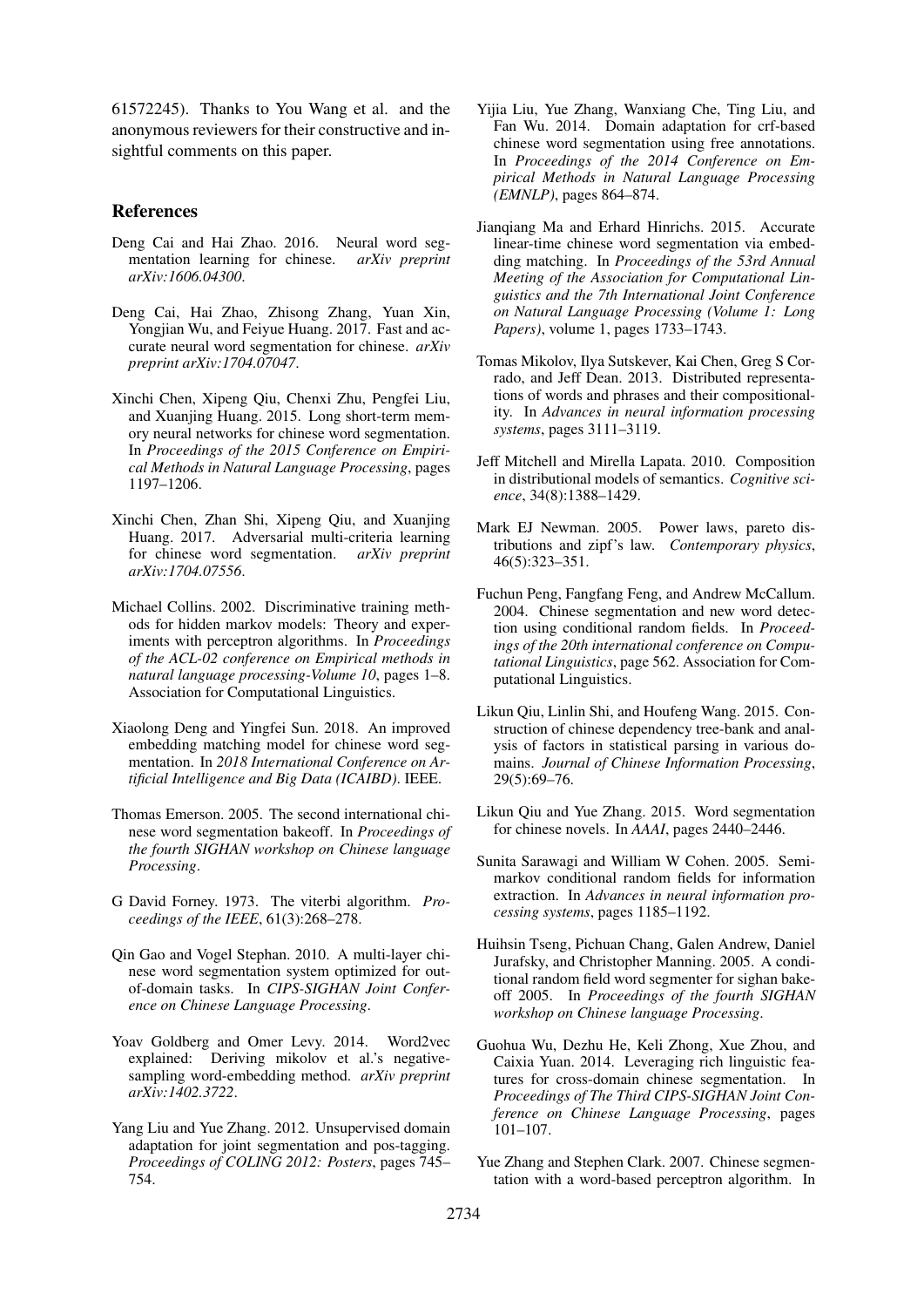61572245). Thanks to You Wang et al. and the anonymous reviewers for their constructive and insightful comments on this paper.

# References

- <span id="page-8-0"></span>Deng Cai and Hai Zhao. 2016. Neural word segmentation learning for chinese. *arXiv preprint arXiv:1606.04300*.
- <span id="page-8-21"></span>Deng Cai, Hai Zhao, Zhisong Zhang, Yuan Xin, Yongjian Wu, and Feiyue Huang. 2017. Fast and accurate neural word segmentation for chinese. *arXiv preprint arXiv:1704.07047*.
- <span id="page-8-6"></span>Xinchi Chen, Xipeng Qiu, Chenxi Zhu, Pengfei Liu, and Xuanjing Huang. 2015. Long short-term memory neural networks for chinese word segmentation. In *Proceedings of the 2015 Conference on Empirical Methods in Natural Language Processing*, pages 1197–1206.
- <span id="page-8-7"></span>Xinchi Chen, Zhan Shi, Xipeng Qiu, and Xuanjing Huang. 2017. Adversarial multi-criteria learning for chinese word segmentation. *arXiv preprint arXiv:1704.07556*.
- <span id="page-8-15"></span>Michael Collins. 2002. Discriminative training methods for hidden markov models: Theory and experiments with perceptron algorithms. In *Proceedings of the ACL-02 conference on Empirical methods in natural language processing-Volume 10*, pages 1–8. Association for Computational Linguistics.
- <span id="page-8-17"></span>Xiaolong Deng and Yingfei Sun. 2018. An improved embedding matching model for chinese word segmentation. In *2018 International Conference on Artificial Intelligence and Big Data (ICAIBD)*. IEEE.
- <span id="page-8-22"></span>Thomas Emerson. 2005. The second international chinese word segmentation bakeoff. In *Proceedings of the fourth SIGHAN workshop on Chinese language Processing*.
- <span id="page-8-19"></span>G David Forney. 1973. The viterbi algorithm. *Proceedings of the IEEE*, 61(3):268–278.
- <span id="page-8-10"></span>Qin Gao and Vogel Stephan. 2010. A multi-layer chinese word segmentation system optimized for outof-domain tasks. In *CIPS-SIGHAN Joint Conference on Chinese Language Processing*.
- <span id="page-8-13"></span>Yoav Goldberg and Omer Levy. 2014. Word2vec explained: Deriving mikolov et al.'s negativesampling word-embedding method. *arXiv preprint arXiv:1402.3722*.
- <span id="page-8-8"></span>Yang Liu and Yue Zhang. 2012. Unsupervised domain adaptation for joint segmentation and pos-tagging. *Proceedings of COLING 2012: Posters*, pages 745– 754.
- <span id="page-8-4"></span>Yijia Liu, Yue Zhang, Wanxiang Che, Ting Liu, and Fan Wu. 2014. Domain adaptation for crf-based chinese word segmentation using free annotations. In *Proceedings of the 2014 Conference on Empirical Methods in Natural Language Processing (EMNLP)*, pages 864–874.
- <span id="page-8-16"></span>Jianqiang Ma and Erhard Hinrichs. 2015. Accurate linear-time chinese word segmentation via embedding matching. In *Proceedings of the 53rd Annual Meeting of the Association for Computational Linguistics and the 7th International Joint Conference on Natural Language Processing (Volume 1: Long Papers)*, volume 1, pages 1733–1743.
- <span id="page-8-14"></span>Tomas Mikolov, Ilya Sutskever, Kai Chen, Greg S Corrado, and Jeff Dean. 2013. Distributed representations of words and phrases and their compositionality. In *Advances in neural information processing systems*, pages 3111–3119.
- <span id="page-8-12"></span>Jeff Mitchell and Mirella Lapata. 2010. Composition in distributional models of semantics. *Cognitive science*, 34(8):1388–1429.
- <span id="page-8-18"></span>Mark EJ Newman. 2005. Power laws, pareto distributions and zipf's law. *Contemporary physics*, 46(5):323–351.
- <span id="page-8-2"></span>Fuchun Peng, Fangfang Feng, and Andrew McCallum. 2004. Chinese segmentation and new word detection using conditional random fields. In *Proceedings of the 20th international conference on Computational Linguistics*, page 562. Association for Computational Linguistics.
- <span id="page-8-20"></span>Likun Qiu, Linlin Shi, and Houfeng Wang. 2015. Construction of chinese dependency tree-bank and analysis of factors in statistical parsing in various domains. *Journal of Chinese Information Processing*, 29(5):69–76.
- <span id="page-8-11"></span>Likun Qiu and Yue Zhang. 2015. Word segmentation for chinese novels. In *AAAI*, pages 2440–2446.
- <span id="page-8-3"></span>Sunita Sarawagi and William W Cohen. 2005. Semimarkov conditional random fields for information extraction. In *Advances in neural information processing systems*, pages 1185–1192.
- <span id="page-8-1"></span>Huihsin Tseng, Pichuan Chang, Galen Andrew, Daniel Jurafsky, and Christopher Manning. 2005. A conditional random field word segmenter for sighan bakeoff 2005. In *Proceedings of the fourth SIGHAN workshop on Chinese language Processing*.
- <span id="page-8-9"></span>Guohua Wu, Dezhu He, Keli Zhong, Xue Zhou, and Caixia Yuan. 2014. Leveraging rich linguistic features for cross-domain chinese segmentation. In *Proceedings of The Third CIPS-SIGHAN Joint Conference on Chinese Language Processing*, pages 101–107.
- <span id="page-8-5"></span>Yue Zhang and Stephen Clark. 2007. Chinese segmentation with a word-based perceptron algorithm. In